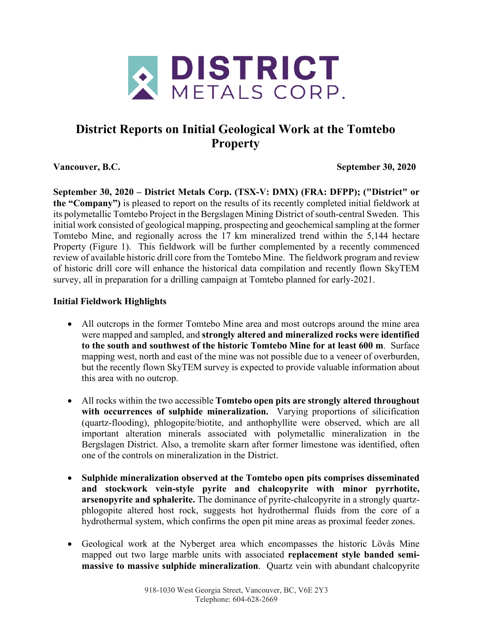

# **District Reports on Initial Geological Work at the Tomtebo Property**

**Vancouver, B.C. September 30, 2020**

**September 30, 2020 – District Metals Corp. (TSX-V: DMX) (FRA: DFPP); ("District" or the "Company")** is pleased to report on the results of its recently completed initial fieldwork at its polymetallic Tomtebo Project in the Bergslagen Mining District of south-central Sweden. This initial work consisted of geological mapping, prospecting and geochemical sampling at the former Tomtebo Mine, and regionally across the 17 km mineralized trend within the 5,144 hectare Property (Figure 1). This fieldwork will be further complemented by a recently commenced review of available historic drill core from the Tomtebo Mine. The fieldwork program and review of historic drill core will enhance the historical data compilation and recently flown SkyTEM survey, all in preparation for a drilling campaign at Tomtebo planned for early-2021.

## **Initial Fieldwork Highlights**

- All outcrops in the former Tomtebo Mine area and most outcrops around the mine area were mapped and sampled, and **strongly altered and mineralized rocks were identified to the south and southwest of the historic Tomtebo Mine for at least 600 m**. Surface mapping west, north and east of the mine was not possible due to a veneer of overburden, but the recently flown SkyTEM survey is expected to provide valuable information about this area with no outcrop.
- All rocks within the two accessible **Tomtebo open pits are strongly altered throughout with occurrences of sulphide mineralization.** Varying proportions of silicification (quartz-flooding), phlogopite/biotite, and anthophyllite were observed, which are all important alteration minerals associated with polymetallic mineralization in the Bergslagen District. Also, a tremolite skarn after former limestone was identified, often one of the controls on mineralization in the District.
- **Sulphide mineralization observed at the Tomtebo open pits comprises disseminated and stockwork vein-style pyrite and chalcopyrite with minor pyrrhotite, arsenopyrite and sphalerite.** The dominance of pyrite-chalcopyrite in a strongly quartzphlogopite altered host rock, suggests hot hydrothermal fluids from the core of a hydrothermal system, which confirms the open pit mine areas as proximal feeder zones.
- Geological work at the Nyberget area which encompasses the historic Lövås Mine mapped out two large marble units with associated **replacement style banded semimassive to massive sulphide mineralization**. Quartz vein with abundant chalcopyrite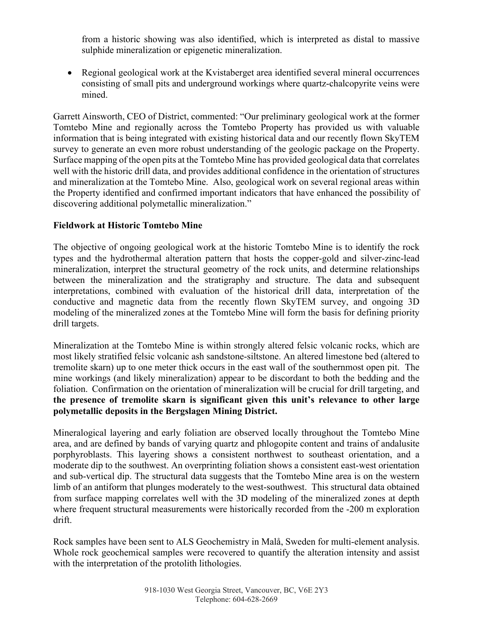from a historic showing was also identified, which is interpreted as distal to massive sulphide mineralization or epigenetic mineralization.

• Regional geological work at the Kvistaberget area identified several mineral occurrences consisting of small pits and underground workings where quartz-chalcopyrite veins were mined.

Garrett Ainsworth, CEO of District, commented: "Our preliminary geological work at the former Tomtebo Mine and regionally across the Tomtebo Property has provided us with valuable information that is being integrated with existing historical data and our recently flown SkyTEM survey to generate an even more robust understanding of the geologic package on the Property. Surface mapping of the open pits at the Tomtebo Mine has provided geological data that correlates well with the historic drill data, and provides additional confidence in the orientation of structures and mineralization at the Tomtebo Mine. Also, geological work on several regional areas within the Property identified and confirmed important indicators that have enhanced the possibility of discovering additional polymetallic mineralization."

### **Fieldwork at Historic Tomtebo Mine**

The objective of ongoing geological work at the historic Tomtebo Mine is to identify the rock types and the hydrothermal alteration pattern that hosts the copper-gold and silver-zinc-lead mineralization, interpret the structural geometry of the rock units, and determine relationships between the mineralization and the stratigraphy and structure. The data and subsequent interpretations, combined with evaluation of the historical drill data, interpretation of the conductive and magnetic data from the recently flown SkyTEM survey, and ongoing 3D modeling of the mineralized zones at the Tomtebo Mine will form the basis for defining priority drill targets.

Mineralization at the Tomtebo Mine is within strongly altered felsic volcanic rocks, which are most likely stratified felsic volcanic ash sandstone-siltstone. An altered limestone bed (altered to tremolite skarn) up to one meter thick occurs in the east wall of the southernmost open pit. The mine workings (and likely mineralization) appear to be discordant to both the bedding and the foliation. Confirmation on the orientation of mineralization will be crucial for drill targeting, and **the presence of tremolite skarn is significant given this unit's relevance to other large polymetallic deposits in the Bergslagen Mining District.** 

Mineralogical layering and early foliation are observed locally throughout the Tomtebo Mine area, and are defined by bands of varying quartz and phlogopite content and trains of andalusite porphyroblasts. This layering shows a consistent northwest to southeast orientation, and a moderate dip to the southwest. An overprinting foliation shows a consistent east-west orientation and sub-vertical dip. The structural data suggests that the Tomtebo Mine area is on the western limb of an antiform that plunges moderately to the west-southwest. This structural data obtained from surface mapping correlates well with the 3D modeling of the mineralized zones at depth where frequent structural measurements were historically recorded from the -200 m exploration drift.

Rock samples have been sent to ALS Geochemistry in Malå, Sweden for multi-element analysis. Whole rock geochemical samples were recovered to quantify the alteration intensity and assist with the interpretation of the protolith lithologies.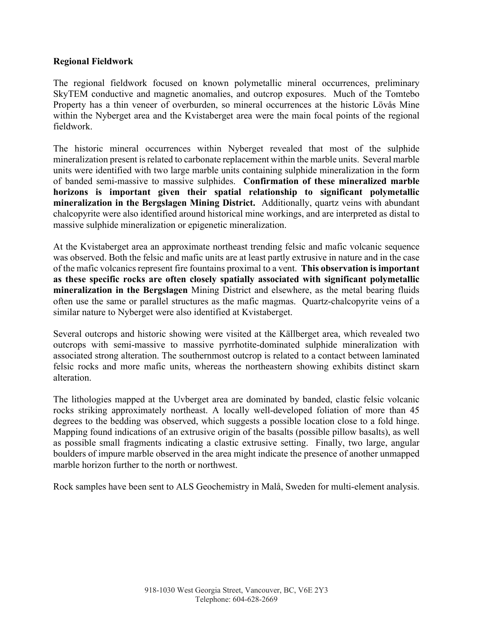#### **Regional Fieldwork**

The regional fieldwork focused on known polymetallic mineral occurrences, preliminary SkyTEM conductive and magnetic anomalies, and outcrop exposures. Much of the Tomtebo Property has a thin veneer of overburden, so mineral occurrences at the historic Lövås Mine within the Nyberget area and the Kvistaberget area were the main focal points of the regional fieldwork.

The historic mineral occurrences within Nyberget revealed that most of the sulphide mineralization present isrelated to carbonate replacement within the marble units. Several marble units were identified with two large marble units containing sulphide mineralization in the form of banded semi-massive to massive sulphides. **Confirmation of these mineralized marble horizons is important given their spatial relationship to significant polymetallic mineralization in the Bergslagen Mining District.** Additionally, quartz veins with abundant chalcopyrite were also identified around historical mine workings, and are interpreted as distal to massive sulphide mineralization or epigenetic mineralization.

At the Kvistaberget area an approximate northeast trending felsic and mafic volcanic sequence was observed. Both the felsic and mafic units are at least partly extrusive in nature and in the case of the mafic volcanics represent fire fountains proximal to a vent. **This observation is important as these specific rocks are often closely spatially associated with significant polymetallic mineralization in the Bergslagen** Mining District and elsewhere, as the metal bearing fluids often use the same or parallel structures as the mafic magmas. Quartz-chalcopyrite veins of a similar nature to Nyberget were also identified at Kvistaberget.

Several outcrops and historic showing were visited at the Källberget area, which revealed two outcrops with semi-massive to massive pyrrhotite-dominated sulphide mineralization with associated strong alteration. The southernmost outcrop is related to a contact between laminated felsic rocks and more mafic units, whereas the northeastern showing exhibits distinct skarn alteration.

The lithologies mapped at the Uvberget area are dominated by banded, clastic felsic volcanic rocks striking approximately northeast. A locally well-developed foliation of more than 45 degrees to the bedding was observed, which suggests a possible location close to a fold hinge. Mapping found indications of an extrusive origin of the basalts (possible pillow basalts), as well as possible small fragments indicating a clastic extrusive setting. Finally, two large, angular boulders of impure marble observed in the area might indicate the presence of another unmapped marble horizon further to the north or northwest.

Rock samples have been sent to ALS Geochemistry in Malå, Sweden for multi-element analysis.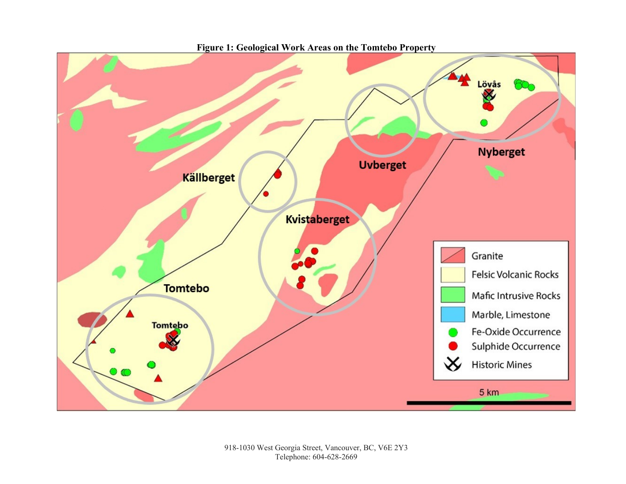

**Figure 1: Geological Work Areas on the Tomtebo Property**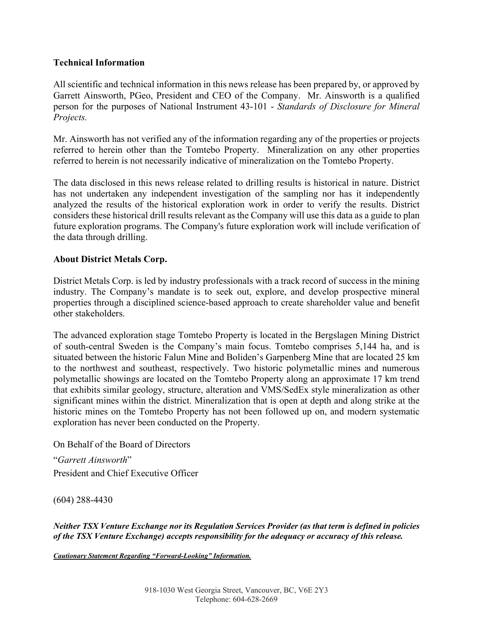#### **Technical Information**

All scientific and technical information in this news release has been prepared by, or approved by Garrett Ainsworth, PGeo, President and CEO of the Company. Mr. Ainsworth is a qualified person for the purposes of National Instrument 43-101 - *Standards of Disclosure for Mineral Projects.*

Mr. Ainsworth has not verified any of the information regarding any of the properties or projects referred to herein other than the Tomtebo Property. Mineralization on any other properties referred to herein is not necessarily indicative of mineralization on the Tomtebo Property.

The data disclosed in this news release related to drilling results is historical in nature. District has not undertaken any independent investigation of the sampling nor has it independently analyzed the results of the historical exploration work in order to verify the results. District considers these historical drill results relevant as the Company will use this data as a guide to plan future exploration programs. The Company's future exploration work will include verification of the data through drilling.

#### **About District Metals Corp.**

District Metals Corp. is led by industry professionals with a track record of success in the mining industry. The Company's mandate is to seek out, explore, and develop prospective mineral properties through a disciplined science-based approach to create shareholder value and benefit other stakeholders.

The advanced exploration stage Tomtebo Property is located in the Bergslagen Mining District of south-central Sweden is the Company's main focus. Tomtebo comprises 5,144 ha, and is situated between the historic Falun Mine and Boliden's Garpenberg Mine that are located 25 km to the northwest and southeast, respectively. Two historic polymetallic mines and numerous polymetallic showings are located on the Tomtebo Property along an approximate 17 km trend that exhibits similar geology, structure, alteration and VMS/SedEx style mineralization as other significant mines within the district. Mineralization that is open at depth and along strike at the historic mines on the Tomtebo Property has not been followed up on, and modern systematic exploration has never been conducted on the Property.

On Behalf of the Board of Directors

"*Garrett Ainsworth*" President and Chief Executive Officer

(604) 288-4430

*Neither TSX Venture Exchange nor its Regulation Services Provider (as that term is defined in policies of the TSX Venture Exchange) accepts responsibility for the adequacy or accuracy of this release.*

*Cautionary Statement Regarding "Forward-Looking" Information.*